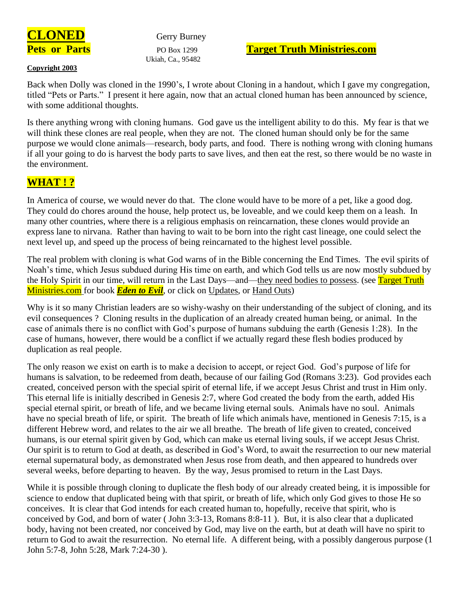

Ukiah, Ca., 95482

# **Pets or Parts** PO Box 1299 **Target Truth Ministries.com**

#### **Copyright 2003**

Back when Dolly was cloned in the 1990's, I wrote about Cloning in a handout, which I gave my congregation, titled "Pets or Parts." I present it here again, now that an actual cloned human has been announced by science, with some additional thoughts.

Is there anything wrong with cloning humans. God gave us the intelligent ability to do this. My fear is that we will think these clones are real people, when they are not. The cloned human should only be for the same purpose we would clone animals—research, body parts, and food. There is nothing wrong with cloning humans if all your going to do is harvest the body parts to save lives, and then eat the rest, so there would be no waste in the environment.

# **WHAT ! ?**

In America of course, we would never do that. The clone would have to be more of a pet, like a good dog. They could do chores around the house, help protect us, be loveable, and we could keep them on a leash. In many other countries, where there is a religious emphasis on reincarnation, these clones would provide an express lane to nirvana. Rather than having to wait to be born into the right cast lineage, one could select the next level up, and speed up the process of being reincarnated to the highest level possible.

The real problem with cloning is what God warns of in the Bible concerning the End Times. The evil spirits of Noah's time, which Jesus subdued during His time on earth, and which God tells us are now mostly subdued by the Holy Spirit in our time, will return in the Last Days—and—they need bodies to possess. (see Target Truth Ministries.com for book *Eden to Evil*, or click on Updates, or Hand Outs)

Why is it so many Christian leaders are so wishy-washy on their understanding of the subject of cloning, and its evil consequences ? Cloning results in the duplication of an already created human being, or animal. In the case of animals there is no conflict with God's purpose of humans subduing the earth (Genesis 1:28). In the case of humans, however, there would be a conflict if we actually regard these flesh bodies produced by duplication as real people.

The only reason we exist on earth is to make a decision to accept, or reject God. God's purpose of life for humans is salvation, to be redeemed from death, because of our failing God (Romans 3:23). God provides each created, conceived person with the special spirit of eternal life, if we accept Jesus Christ and trust in Him only. This eternal life is initially described in Genesis 2:7, where God created the body from the earth, added His special eternal spirit, or breath of life, and we became living eternal souls. Animals have no soul. Animals have no special breath of life, or spirit. The breath of life which animals have, mentioned in Genesis 7:15, is a different Hebrew word, and relates to the air we all breathe. The breath of life given to created, conceived humans, is our eternal spirit given by God, which can make us eternal living souls, if we accept Jesus Christ. Our spirit is to return to God at death, as described in God's Word, to await the resurrection to our new material eternal supernatural body, as demonstrated when Jesus rose from death, and then appeared to hundreds over several weeks, before departing to heaven. By the way, Jesus promised to return in the Last Days.

While it is possible through cloning to duplicate the flesh body of our already created being, it is impossible for science to endow that duplicated being with that spirit, or breath of life, which only God gives to those He so conceives. It is clear that God intends for each created human to, hopefully, receive that spirit, who is conceived by God, and born of water ( John 3:3-13, Romans 8:8-11 ). But, it is also clear that a duplicated body, having not been created, nor conceived by God, may live on the earth, but at death will have no spirit to return to God to await the resurrection. No eternal life. A different being, with a possibly dangerous purpose (1 John 5:7-8, John 5:28, Mark 7:24-30 ).